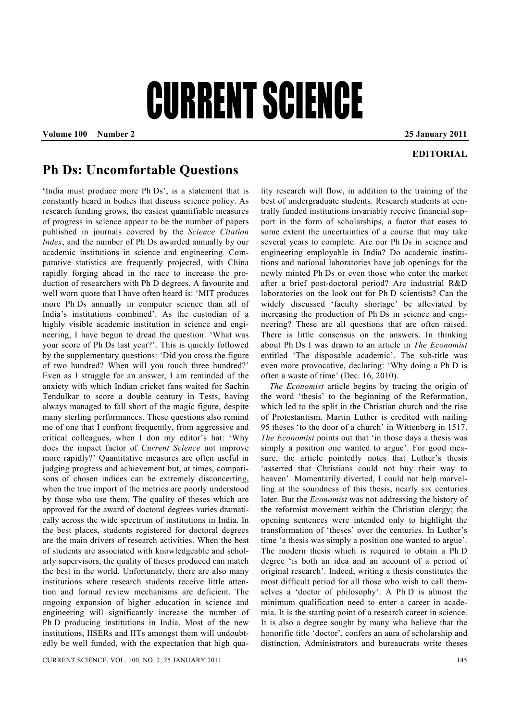## CURRENT SCIENCE

**Volume 100 Number 2 25 January 2011** 

## **EDITORIAL**

## **Ph Ds: Uncomfortable Questions**

'India must produce more Ph Ds', is a statement that is constantly heard in bodies that discuss science policy. As research funding grows, the easiest quantifiable measures of progress in science appear to be the number of papers published in journals covered by the *Science Citation Index*, and the number of Ph Ds awarded annually by our academic institutions in science and engineering. Comparative statistics are frequently projected, with China rapidly forging ahead in the race to increase the production of researchers with Ph D degrees. A favourite and well worn quote that I have often heard is: 'MIT produces more Ph Ds annually in computer science than all of India's institutions combined'. As the custodian of a highly visible academic institution in science and engineering, I have begun to dread the question: 'What was your score of Ph Ds last year?'. This is quickly followed by the supplementary questions: 'Did you cross the figure of two hundred? When will you touch three hundred?' Even as I struggle for an answer, I am reminded of the anxiety with which Indian cricket fans waited for Sachin Tendulkar to score a double century in Tests, having always managed to fall short of the magic figure, despite many sterling performances. These questions also remind me of one that I confront frequently, from aggressive and critical colleagues, when I don my editor's hat: 'Why does the impact factor of *Current Science* not improve more rapidly?' Quantitative measures are often useful in judging progress and achievement but, at times, comparisons of chosen indices can be extremely disconcerting, when the true import of the metrics are poorly understood by those who use them. The quality of theses which are approved for the award of doctoral degrees varies dramatically across the wide spectrum of institutions in India. In the best places, students registered for doctoral degrees are the main drivers of research activities. When the best of students are associated with knowledgeable and scholarly supervisors, the quality of theses produced can match the best in the world. Unfortunately, there are also many institutions where research students receive little attention and formal review mechanisms are deficient. The ongoing expansion of higher education in science and engineering will significantly increase the number of Ph D producing institutions in India. Most of the new institutions, IISERs and IITs amongst them will undoubtedly be well funded, with the expectation that high quality research will flow, in addition to the training of the best of undergraduate students. Research students at centrally funded institutions invariably receive financial support in the form of scholarships, a factor that eases to some extent the uncertainties of a course that may take several years to complete. Are our Ph Ds in science and engineering employable in India? Do academic institutions and national laboratories have job openings for the newly minted Ph Ds or even those who enter the market after a brief post-doctoral period? Are industrial R&D laboratories on the look out for Ph D scientists? Can the widely discussed 'faculty shortage' be alleviated by increasing the production of Ph Ds in science and engineering? These are all questions that are often raised. There is little consensus on the answers. In thinking about Ph Ds I was drawn to an article in *The Economist* entitled 'The disposable academic'. The sub-title was even more provocative, declaring: 'Why doing a Ph D is often a waste of time' (Dec. 16, 2010).

*The Economist* article begins by tracing the origin of the word 'thesis' to the beginning of the Reformation, which led to the split in the Christian church and the rise of Protestantism. Martin Luther is credited with nailing 95 theses 'to the door of a church' in Wittenberg in 1517. *The Economist* points out that 'in those days a thesis was simply a position one wanted to argue'. For good measure, the article pointedly notes that Luther's thesis 'asserted that Christians could not buy their way to heaven'. Momentarily diverted, I could not help marvelling at the soundness of this thesis, nearly six centuries later. But the *Economist* was not addressing the history of the reformist movement within the Christian clergy; the opening sentences were intended only to highlight the transformation of 'theses' over the centuries. In Luther's time 'a thesis was simply a position one wanted to argue'. The modern thesis which is required to obtain a Ph D degree 'is both an idea and an account of a period of original research'. Indeed, writing a thesis constitutes the most difficult period for all those who wish to call themselves a 'doctor of philosophy'. A Ph D is almost the minimum qualification need to enter a career in academia. It is the starting point of a research career in science. It is also a degree sought by many who believe that the honorific title 'doctor', confers an aura of scholarship and distinction. Administrators and bureaucrats write theses